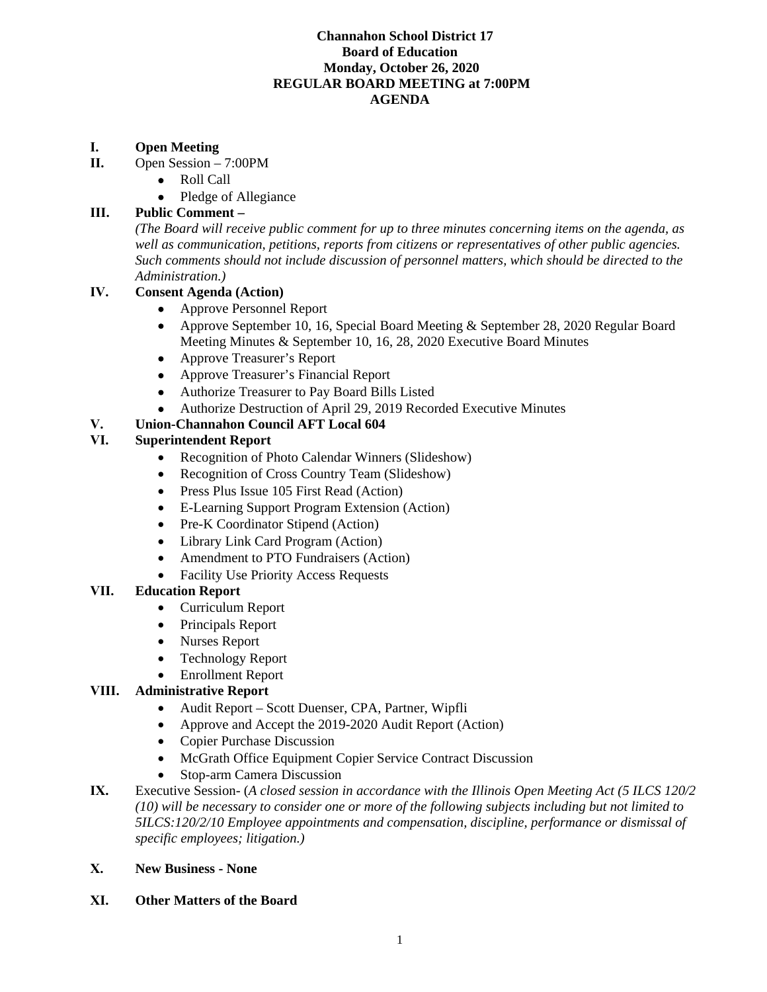#### **Channahon School District 17 Board of Education Monday, October 26, 2020 REGULAR BOARD MEETING at 7:00PM AGENDA**

### **I. Open Meeting**

- **II.** Open Session 7:00PM
	- Roll Call
	- Pledge of Allegiance

# **III. Public Comment –**

*(The Board will receive public comment for up to three minutes concerning items on the agenda, as well as communication, petitions, reports from citizens or representatives of other public agencies. Such comments should not include discussion of personnel matters, which should be directed to the Administration.)*

## **IV. Consent Agenda (Action)**

- Approve Personnel Report
- Approve September 10, 16, Special Board Meeting & September 28, 2020 Regular Board Meeting Minutes & September 10, 16, 28, 2020 Executive Board Minutes
- Approve Treasurer's Report
- Approve Treasurer's Financial Report
- Authorize Treasurer to Pay Board Bills Listed
- Authorize Destruction of April 29, 2019 Recorded Executive Minutes

# **V. Union-Channahon Council AFT Local 604**

## **VI. Superintendent Report**

- Recognition of Photo Calendar Winners (Slideshow)
- Recognition of Cross Country Team (Slideshow)
- Press Plus Issue 105 First Read (Action)
- E-Learning Support Program Extension (Action)
- Pre-K Coordinator Stipend (Action)
- Library Link Card Program (Action)
- Amendment to PTO Fundraisers (Action)
- Facility Use Priority Access Requests

#### **VII. Education Report**

- Curriculum Report
- Principals Report
- Nurses Report
- Technology Report
- Enrollment Report

#### **VIII. Administrative Report**

- Audit Report Scott Duenser, CPA, Partner, Wipfli
- Approve and Accept the 2019-2020 Audit Report (Action)
- Copier Purchase Discussion
- McGrath Office Equipment Copier Service Contract Discussion
- Stop-arm Camera Discussion
- **IX.** Executive Session- (*A closed session in accordance with the Illinois Open Meeting Act (5 ILCS 120/2 (10) will be necessary to consider one or more of the following subjects including but not limited to 5ILCS:120/2/10 Employee appointments and compensation, discipline, performance or dismissal of specific employees; litigation.)*

#### **X. New Business - None**

**XI. Other Matters of the Board**